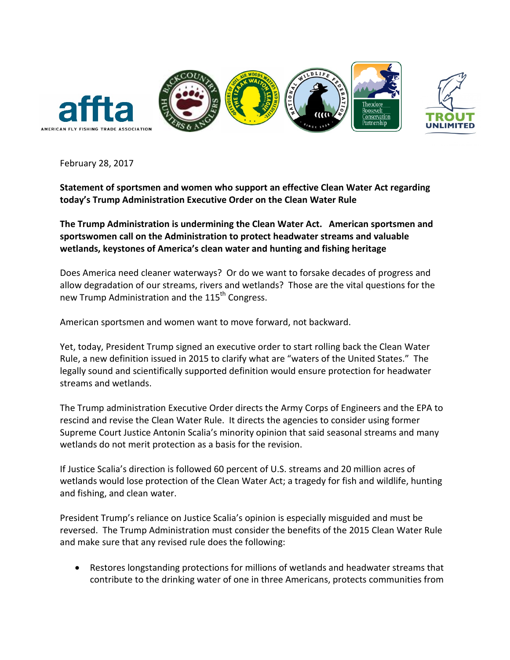

February 28, 2017

**Statement of sportsmen and women who support an effective Clean Water Act regarding today's Trump Administration Executive Order on the Clean Water Rule**

**The Trump Administration is undermining the Clean Water Act. American sportsmen and sportswomen call on the Administration to protect headwater streams and valuable wetlands, keystones of America's clean water and hunting and fishing heritage**

Does America need cleaner waterways? Or do we want to forsake decades of progress and allow degradation of our streams, rivers and wetlands? Those are the vital questions for the new Trump Administration and the 115<sup>th</sup> Congress.

American sportsmen and women want to move forward, not backward.

Yet, today, President Trump signed an executive order to start rolling back the Clean Water Rule, a new definition issued in 2015 to clarify what are "waters of the United States." The legally sound and scientifically supported definition would ensure protection for headwater streams and wetlands.

The Trump administration Executive Order directs the Army Corps of Engineers and the EPA to rescind and revise the Clean Water Rule. It directs the agencies to consider using former Supreme Court Justice Antonin Scalia's minority opinion that said seasonal streams and many wetlands do not merit protection as a basis for the revision.

If Justice Scalia's direction is followed 60 percent of U.S. streams and 20 million acres of wetlands would lose protection of the Clean Water Act; a tragedy for fish and wildlife, hunting and fishing, and clean water.

President Trump's reliance on Justice Scalia's opinion is especially misguided and must be reversed. The Trump Administration must consider the benefits of the 2015 Clean Water Rule and make sure that any revised rule does the following:

• Restores longstanding protections for millions of wetlands and headwater streams that contribute to the drinking water of one in three Americans, protects communities from